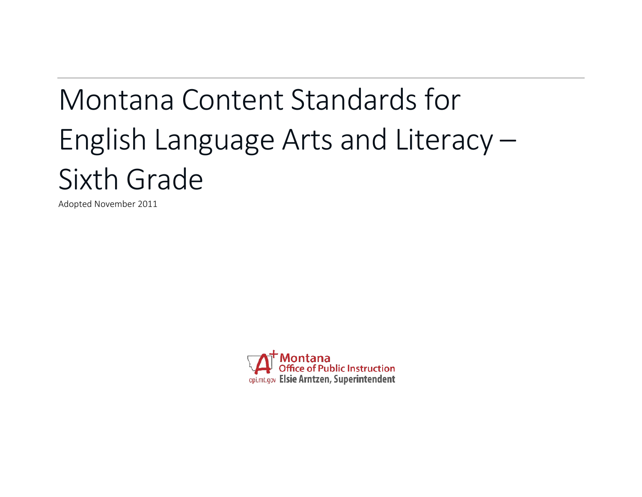# Montana Content Standards for English Language Arts and Literacy – Sixth Grade

Adopted November 2011

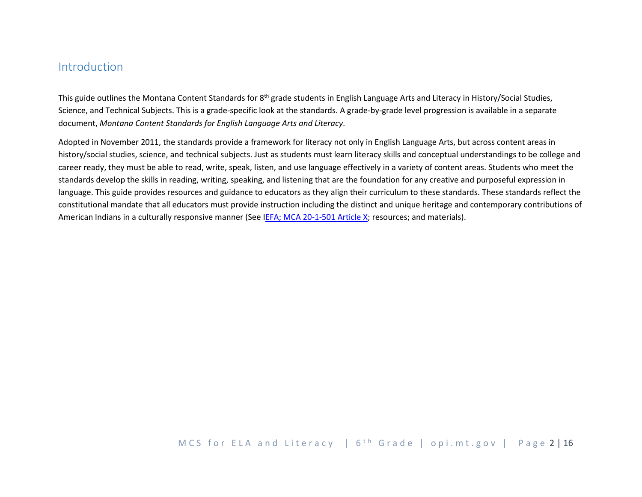# Introduction

This guide outlines the Montana Content Standards for  $8<sup>th</sup>$  grade students in English Language Arts and Literacy in History/Social Studies, Science, and Technical Subjects. This is a grade-specific look at the standards. A grade-by-grade level progression is available in a separate document, *Montana Content Standards for English Language Arts and Literacy*.

Adopted in November 2011, the standards provide a framework for literacy not only in English Language Arts, but across content areas in history/social studies, science, and technical subjects. Just as students must learn literacy skills and conceptual understandings to be college and career ready, they must be able to read, write, speak, listen, and use language effectively in a variety of content areas. Students who meet the standards develop the skills in reading, writing, speaking, and listening that are the foundation for any creative and purposeful expression in language. This guide provides resources and guidance to educators as they align their curriculum to these standards. These standards reflect the constitutional mandate that all educators must provide instruction including the distinct and unique heritage and contemporary contributions of American Indians in a culturally responsive manner (See [IEFA; MCA 20-1-501 Article X;](http://www.opi.mt.gov/PDF/IndianEd/Resources/ArticleX_IEFA.pdf) resources; and materials).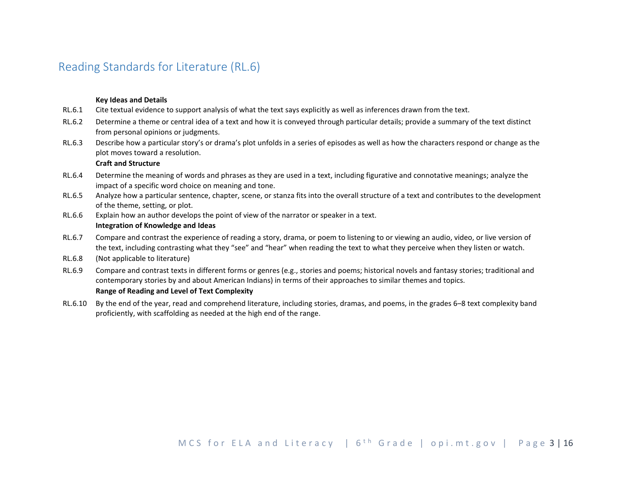# Reading Standards for Literature (RL.6)

#### **Key Ideas and Details**

- RL.6.1 Cite textual evidence to support analysis of what the text says explicitly as well as inferences drawn from the text.
- RL.6.2 Determine a theme or central idea of a text and how it is conveyed through particular details; provide a summary of the text distinct from personal opinions or judgments.
- RL.6.3 Describe how a particular story's or drama's plot unfolds in a series of episodes as well as how the characters respond or change as the plot moves toward a resolution.

#### **Craft and Structure**

- RL.6.4 Determine the meaning of words and phrases as they are used in a text, including figurative and connotative meanings; analyze the impact of a specific word choice on meaning and tone.
- RL.6.5 Analyze how a particular sentence, chapter, scene, or stanza fits into the overall structure of a text and contributes to the development of the theme, setting, or plot.
- RL.6.6 Explain how an author develops the point of view of the narrator or speaker in a text.

### **Integration of Knowledge and Ideas**

- RL.6.7 Compare and contrast the experience of reading a story, drama, or poem to listening to or viewing an audio, video, or live version of the text, including contrasting what they "see" and "hear" when reading the text to what they perceive when they listen or watch.
- RL.6.8 (Not applicable to literature)
- RL.6.9 Compare and contrast texts in different forms or genres (e.g., stories and poems; historical novels and fantasy stories; traditional and contemporary stories by and about American Indians) in terms of their approaches to similar themes and topics.

#### **Range of Reading and Level of Text Complexity**

RL.6.10 By the end of the year, read and comprehend literature, including stories, dramas, and poems, in the grades 6–8 text complexity band proficiently, with scaffolding as needed at the high end of the range.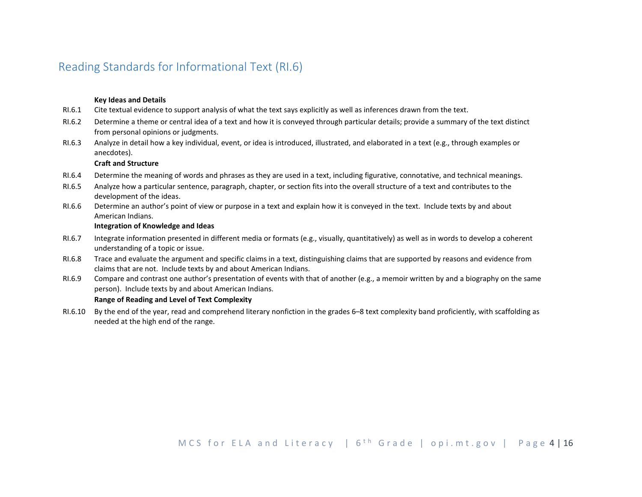# Reading Standards for Informational Text (RI.6)

#### **Key Ideas and Details**

- RI.6.1 Cite textual evidence to support analysis of what the text says explicitly as well as inferences drawn from the text.
- RI.6.2 Determine a theme or central idea of a text and how it is conveyed through particular details; provide a summary of the text distinct from personal opinions or judgments.
- RI.6.3 Analyze in detail how a key individual, event, or idea is introduced, illustrated, and elaborated in a text (e.g., through examples or anecdotes).

### **Craft and Structure**

- RI.6.4 Determine the meaning of words and phrases as they are used in a text, including figurative, connotative, and technical meanings.
- RI.6.5 Analyze how a particular sentence, paragraph, chapter, or section fits into the overall structure of a text and contributes to the development of the ideas.
- RI.6.6 Determine an author's point of view or purpose in a text and explain how it is conveyed in the text. Include texts by and about American Indians.

### **Integration of Knowledge and Ideas**

- RI.6.7 Integrate information presented in different media or formats (e.g., visually, quantitatively) as well as in words to develop a coherent understanding of a topic or issue.
- RI.6.8 Trace and evaluate the argument and specific claims in a text, distinguishing claims that are supported by reasons and evidence from claims that are not. Include texts by and about American Indians.
- RI.6.9 Compare and contrast one author's presentation of events with that of another (e.g., a memoir written by and a biography on the same person). Include texts by and about American Indians.

#### **Range of Reading and Level of Text Complexity**

RI.6.10 By the end of the year, read and comprehend literary nonfiction in the grades 6–8 text complexity band proficiently, with scaffolding as needed at the high end of the range.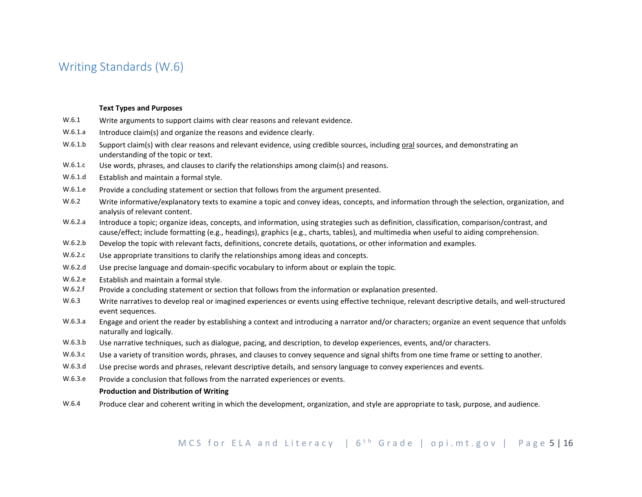# Writing Standards (W.6)

#### **Text Types and Purposes**

- W.6.1 Write arguments to support claims with clear reasons and relevant evidence.
- W.6.1.a Introduce claim(s) and organize the reasons and evidence clearly.
- W.6.1.b Support claim(s) with clear reasons and relevant evidence, using credible sources, including oral sources, and demonstrating an understanding of the topic or text.
- W.6.1.c Use words, phrases, and clauses to clarify the relationships among claim(s) and reasons.
- W.6.1.d Establish and maintain a formal style.
- W.6.1.e Provide a concluding statement or section that follows from the argument presented.
- W.6.2 Write informative/explanatory texts to examine a topic and convey ideas, concepts, and information through the selection, organization, and analysis of relevant content.
- W.6.2.a Introduce a topic; organize ideas, concepts, and information, using strategies such as definition, classification, comparison/contrast, and cause/effect; include formatting (e.g., headings), graphics (e.g., charts, tables), and multimedia when useful to aiding comprehension.
- W.6.2.b Develop the topic with relevant facts, definitions, concrete details, quotations, or other information and examples.
- W.6.2.c Use appropriate transitions to clarify the relationships among ideas and concepts.
- W.6.2.d Use precise language and domain-specific vocabulary to inform about or explain the topic.
- W.6.2.e Establish and maintain a formal style.
- W.6.2.f Provide a concluding statement or section that follows from the information or explanation presented.
- W.6.3 Write narratives to develop real or imagined experiences or events using effective technique, relevant descriptive details, and well-structured event sequences.
- W.6.3.a Engage and orient the reader by establishing a context and introducing a narrator and/or characters; organize an event sequence that unfolds naturally and logically.
- W.6.3.b Use narrative techniques, such as dialogue, pacing, and description, to develop experiences, events, and/or characters.
- W.6.3.c Use a variety of transition words, phrases, and clauses to convey sequence and signal shifts from one time frame or setting to another.
- W.6.3.d Use precise words and phrases, relevant descriptive details, and sensory language to convey experiences and events.
- W.6.3.e Provide a conclusion that follows from the narrated experiences or events.

#### **Production and Distribution of Writing**

W.6.4 Produce clear and coherent writing in which the development, organization, and style are appropriate to task, purpose, and audience.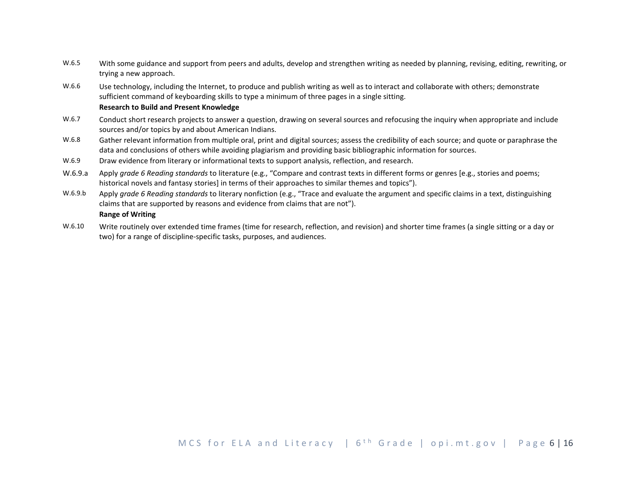- W.6.5 With some guidance and support from peers and adults, develop and strengthen writing as needed by planning, revising, editing, rewriting, or trying a new approach.
- W.6.6 Use technology, including the Internet, to produce and publish writing as well as to interact and collaborate with others; demonstrate sufficient command of keyboarding skills to type a minimum of three pages in a single sitting.

#### **Research to Build and Present Knowledge**

- W.6.7 Conduct short research projects to answer a question, drawing on several sources and refocusing the inquiry when appropriate and include sources and/or topics by and about American Indians.
- W.6.8 Gather relevant information from multiple oral, print and digital sources; assess the credibility of each source; and quote or paraphrase the data and conclusions of others while avoiding plagiarism and providing basic bibliographic information for sources.
- W.6.9 Draw evidence from literary or informational texts to support analysis, reflection, and research.
- W.6.9.a Apply *grade 6 Reading standards* to literature (e.g., "Compare and contrast texts in different forms or genres [e.g., stories and poems; historical novels and fantasy stories] in terms of their approaches to similar themes and topics").
- W.6.9.b Apply *grade 6 Reading standards* to literary nonfiction (e.g., "Trace and evaluate the argument and specific claims in a text, distinguishing claims that are supported by reasons and evidence from claims that are not").

# **Range of Writing**

W.6.10 Write routinely over extended time frames (time for research, reflection, and revision) and shorter time frames (a single sitting or a day or two) for a range of discipline-specific tasks, purposes, and audiences.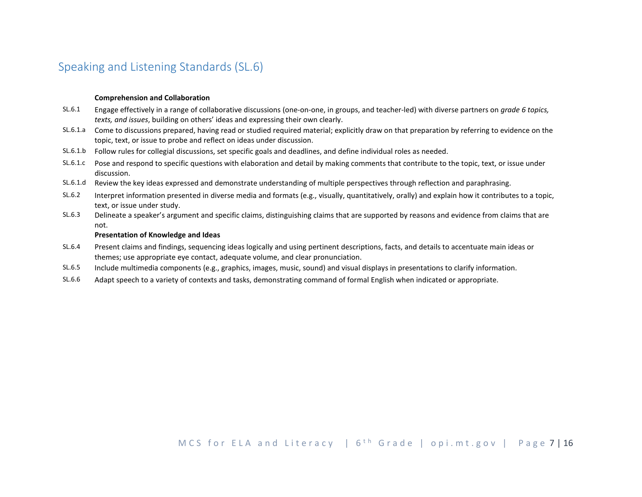# Speaking and Listening Standards (SL.6)

### **Comprehension and Collaboration**

- SL.6.1 Engage effectively in a range of collaborative discussions (one-on-one, in groups, and teacher-led) with diverse partners on *grade 6 topics, texts, and issues*, building on others' ideas and expressing their own clearly.
- SL.6.1.a Come to discussions prepared, having read or studied required material; explicitly draw on that preparation by referring to evidence on the topic, text, or issue to probe and reflect on ideas under discussion.
- SL.6.1.b Follow rules for collegial discussions, set specific goals and deadlines, and define individual roles as needed.
- SL.6.1.c Pose and respond to specific questions with elaboration and detail by making comments that contribute to the topic, text, or issue under discussion.
- SL.6.1.d Review the key ideas expressed and demonstrate understanding of multiple perspectives through reflection and paraphrasing.
- SL.6.2 Interpret information presented in diverse media and formats (e.g., visually, quantitatively, orally) and explain how it contributes to a topic, text, or issue under study.
- SL.6.3 Delineate a speaker's argument and specific claims, distinguishing claims that are supported by reasons and evidence from claims that are not.

### **Presentation of Knowledge and Ideas**

- SL.6.4 Present claims and findings, sequencing ideas logically and using pertinent descriptions, facts, and details to accentuate main ideas or themes; use appropriate eye contact, adequate volume, and clear pronunciation.
- SL.6.5 Include multimedia components (e.g., graphics, images, music, sound) and visual displays in presentations to clarify information.
- SL.6.6 Adapt speech to a variety of contexts and tasks, demonstrating command of formal English when indicated or appropriate.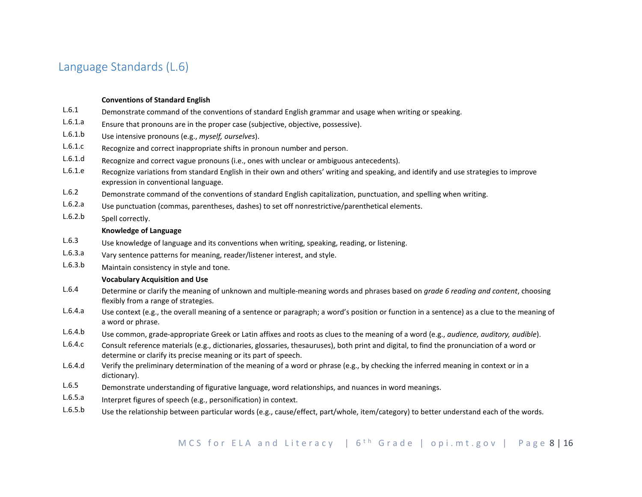# Language Standards (L.6)

### **Conventions of Standard English**

- L.6.1 Demonstrate command of the conventions of standard English grammar and usage when writing or speaking.
- L.6.1.a Ensure that pronouns are in the proper case (subjective, objective, possessive).
- L.6.1.b Use intensive pronouns (e.g., *myself, ourselves*).
- L.6.1.c Recognize and correct inappropriate shifts in pronoun number and person.
- L.6.1.d Recognize and correct vague pronouns (i.e., ones with unclear or ambiguous antecedents).
- L.6.1.e Recognize variations from standard English in their own and others' writing and speaking, and identify and use strategies to improve expression in conventional language.
- L.6.2 Demonstrate command of the conventions of standard English capitalization, punctuation, and spelling when writing.
- L.6.2.a Use punctuation (commas, parentheses, dashes) to set off nonrestrictive/parenthetical elements.
- L.6.2.b Spell correctly.

### **Knowledge of Language**

- L.6.3 Use knowledge of language and its conventions when writing, speaking, reading, or listening.
- L.6.3.a Vary sentence patterns for meaning, reader/listener interest, and style.
- L.6.3.b Maintain consistency in style and tone.

#### **Vocabulary Acquisition and Use**

- L.6.4 Determine or clarify the meaning of unknown and multiple-meaning words and phrases based on *grade 6 reading and content*, choosing flexibly from a range of strategies.
- L.6.4.a Use context (e.g., the overall meaning of a sentence or paragraph; a word's position or function in a sentence) as a clue to the meaning of a word or phrase.
- L.6.4.b Use common, grade-appropriate Greek or Latin affixes and roots as clues to the meaning of a word (e.g., *audience, auditory, audible*).
- L.6.4.c Consult reference materials (e.g., dictionaries, glossaries, thesauruses), both print and digital, to find the pronunciation of a word or determine or clarify its precise meaning or its part of speech.
- L.6.4.d Verify the preliminary determination of the meaning of a word or phrase (e.g., by checking the inferred meaning in context or in a dictionary).
- L.6.5 Demonstrate understanding of figurative language, word relationships, and nuances in word meanings.
- L.6.5.a Interpret figures of speech (e.g., personification) in context.
- L.6.5.b Use the relationship between particular words (e.g., cause/effect, part/whole, item/category) to better understand each of the words.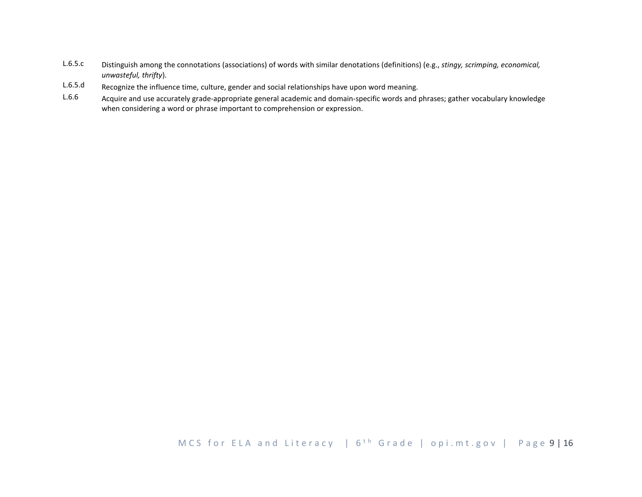- L.6.5.c Distinguish among the connotations (associations) of words with similar denotations (definitions) (e.g., *stingy, scrimping, economical, unwasteful, thrifty*).
- L.6.5.d Recognize the influence time, culture, gender and social relationships have upon word meaning.
- L.6.6 Acquire and use accurately grade-appropriate general academic and domain-specific words and phrases; gather vocabulary knowledge when considering a word or phrase important to comprehension or expression.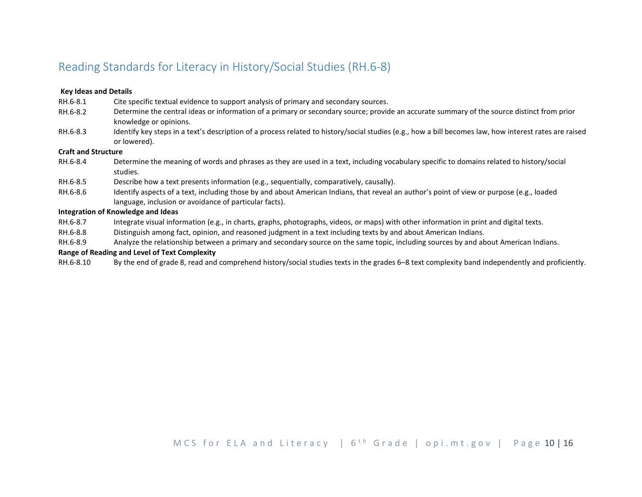# Reading Standards for Literacy in History/Social Studies (RH.6-8)

### **Key Ideas and Details**

- RH.6-8.1 Cite specific textual evidence to support analysis of primary and secondary sources.
- RH.6-8.2 Determine the central ideas or information of a primary or secondary source; provide an accurate summary of the source distinct from prior knowledge or opinions.
- RH.6-8.3 Identify key steps in a text's description of a process related to history/social studies (e.g., how a bill becomes law, how interest rates are raised or lowered).

### **Craft and Structure**

- RH.6-8.4 Determine the meaning of words and phrases as they are used in a text, including vocabulary specific to domains related to history/social studies.
- RH.6-8.5 Describe how a text presents information (e.g., sequentially, comparatively, causally).
- RH.6-8.6 Identify aspects of a text, including those by and about American Indians, that reveal an author's point of view or purpose (e.g., loaded language, inclusion or avoidance of particular facts).

### **Integration of Knowledge and Ideas**

- RH.6-8.7 Integrate visual information (e.g., in charts, graphs, photographs, videos, or maps) with other information in print and digital texts.
- RH.6-8.8 Distinguish among fact, opinion, and reasoned judgment in a text including texts by and about American Indians.
- RH.6-8.9 Analyze the relationship between a primary and secondary source on the same topic, including sources by and about American Indians.

# **Range of Reading and Level of Text Complexity**

RH.6-8.10 By the end of grade 8, read and comprehend history/social studies texts in the grades 6–8 text complexity band independently and proficiently.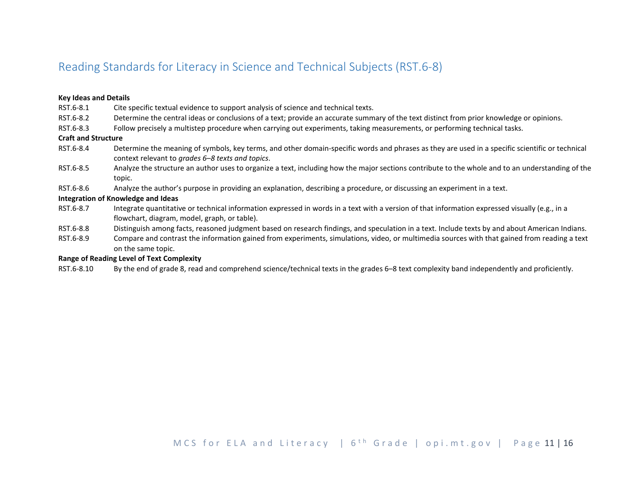# Reading Standards for Literacy in Science and Technical Subjects (RST.6-8)

### **Key Ideas and Details**

- RST.6-8.1 Cite specific textual evidence to support analysis of science and technical texts.
- RST.6-8.2 Determine the central ideas or conclusions of a text; provide an accurate summary of the text distinct from prior knowledge or opinions.
- RST.6-8.3 Follow precisely a multistep procedure when carrying out experiments, taking measurements, or performing technical tasks.

#### **Craft and Structure**

- RST.6-8.4 Determine the meaning of symbols, key terms, and other domain-specific words and phrases as they are used in a specific scientific or technical context relevant to *grades 6–8 texts and topics*.
- RST.6-8.5 Analyze the structure an author uses to organize a text, including how the major sections contribute to the whole and to an understanding of the topic.
- RST.6-8.6 Analyze the author's purpose in providing an explanation, describing a procedure, or discussing an experiment in a text.

### **Integration of Knowledge and Ideas**

- RST.6-8.7 Integrate quantitative or technical information expressed in words in a text with a version of that information expressed visually (e.g., in a flowchart, diagram, model, graph, or table).
- RST.6-8.8 Distinguish among facts, reasoned judgment based on research findings, and speculation in a text. Include texts by and about American Indians.
- RST.6-8.9 Compare and contrast the information gained from experiments, simulations, video, or multimedia sources with that gained from reading a text on the same topic.

### **Range of Reading Level of Text Complexity**

RST.6-8.10 By the end of grade 8, read and comprehend science/technical texts in the grades 6–8 text complexity band independently and proficiently.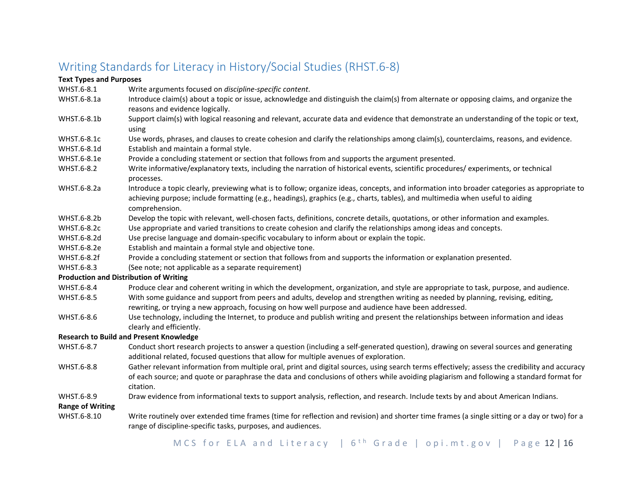# Writing Standards for Literacy in History/Social Studies (RHST.6-8)

# **Text Types and Purposes**

- WHST.6-8.1 Write arguments focused on *discipline-specific content*.
- WHST.6-8.1a Introduce claim(s) about a topic or issue, acknowledge and distinguish the claim(s) from alternate or opposing claims, and organize the reasons and evidence logically.
- WHST.6-8.1b Support claim(s) with logical reasoning and relevant, accurate data and evidence that demonstrate an understanding of the topic or text, using
- WHST.6-8.1c Use words, phrases, and clauses to create cohesion and clarify the relationships among claim(s), counterclaims, reasons, and evidence.
- WHST.6-8.1d Establish and maintain a formal style.
- WHST.6-8.1e Provide a concluding statement or section that follows from and supports the argument presented.
- WHST.6-8.2 Write informative/explanatory texts, including the narration of historical events, scientific procedures/ experiments, or technical processes.
- WHST.6-8.2a Introduce a topic clearly, previewing what is to follow; organize ideas, concepts, and information into broader categories as appropriate to achieving purpose; include formatting (e.g., headings), graphics (e.g., charts, tables), and multimedia when useful to aiding comprehension.
- WHST.6-8.2b Develop the topic with relevant, well-chosen facts, definitions, concrete details, quotations, or other information and examples.
- WHST.6-8.2c Use appropriate and varied transitions to create cohesion and clarify the relationships among ideas and concepts.
- WHST.6-8.2d Use precise language and domain-specific vocabulary to inform about or explain the topic.
- WHST.6-8.2e Establish and maintain a formal style and objective tone.
- WHST.6-8.2f Provide a concluding statement or section that follows from and supports the information or explanation presented.
- WHST.6-8.3 (See note; not applicable as a separate requirement)

# **Production and Distribution of Writing**

- WHST.6-8.4 Produce clear and coherent writing in which the development, organization, and style are appropriate to task, purpose, and audience.
- WHST.6-8.5 With some guidance and support from peers and adults, develop and strengthen writing as needed by planning, revising, editing, rewriting, or trying a new approach, focusing on how well purpose and audience have been addressed.
- WHST.6-8.6 Use technology, including the Internet, to produce and publish writing and present the relationships between information and ideas clearly and efficiently.

# **Research to Build and Present Knowledge**

- WHST.6-8.7 Conduct short research projects to answer a question (including a self-generated question), drawing on several sources and generating additional related, focused questions that allow for multiple avenues of exploration.
- WHST.6-8.8 Gather relevant information from multiple oral, print and digital sources, using search terms effectively; assess the credibility and accuracy of each source; and quote or paraphrase the data and conclusions of others while avoiding plagiarism and following a standard format for citation.
- WHST.6-8.9 Draw evidence from informational texts to support analysis, reflection, and research. Include texts by and about American Indians.

# **Range of Writing**

WHST.6-8.10 Write routinely over extended time frames (time for reflection and revision) and shorter time frames (a single sitting or a day or two) for a range of discipline-specific tasks, purposes, and audiences.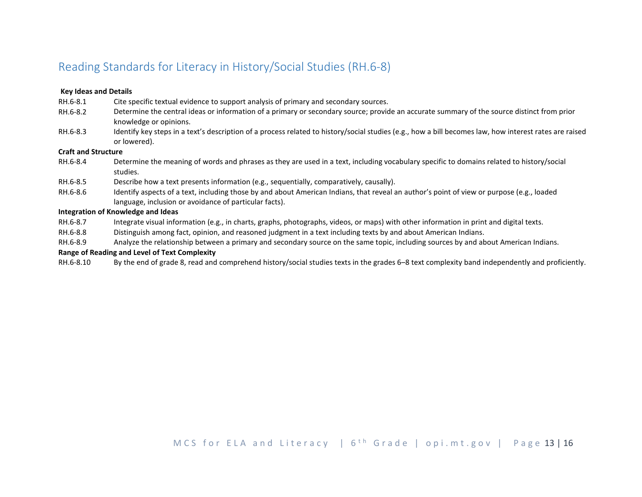# Reading Standards for Literacy in History/Social Studies (RH.6-8)

### **Key Ideas and Details**

- RH.6-8.1 Cite specific textual evidence to support analysis of primary and secondary sources.
- RH.6-8.2 Determine the central ideas or information of a primary or secondary source; provide an accurate summary of the source distinct from prior knowledge or opinions.
- RH.6-8.3 Identify key steps in a text's description of a process related to history/social studies (e.g., how a bill becomes law, how interest rates are raised or lowered).

### **Craft and Structure**

- RH.6-8.4 Determine the meaning of words and phrases as they are used in a text, including vocabulary specific to domains related to history/social studies.
- RH.6-8.5 Describe how a text presents information (e.g., sequentially, comparatively, causally).
- RH.6-8.6 Identify aspects of a text, including those by and about American Indians, that reveal an author's point of view or purpose (e.g., loaded language, inclusion or avoidance of particular facts).

### **Integration of Knowledge and Ideas**

- RH.6-8.7 Integrate visual information (e.g., in charts, graphs, photographs, videos, or maps) with other information in print and digital texts.
- RH.6-8.8 Distinguish among fact, opinion, and reasoned judgment in a text including texts by and about American Indians.
- RH.6-8.9 Analyze the relationship between a primary and secondary source on the same topic, including sources by and about American Indians.

# **Range of Reading and Level of Text Complexity**

RH.6-8.10 By the end of grade 8, read and comprehend history/social studies texts in the grades 6–8 text complexity band independently and proficiently.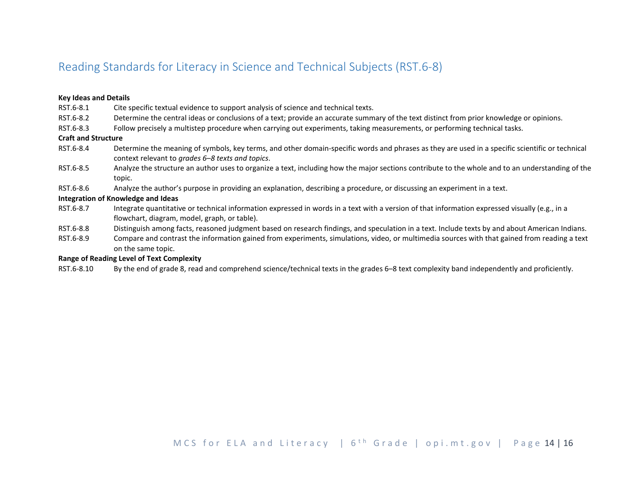# Reading Standards for Literacy in Science and Technical Subjects (RST.6-8)

### **Key Ideas and Details**

- RST.6-8.1 Cite specific textual evidence to support analysis of science and technical texts.
- RST.6-8.2 Determine the central ideas or conclusions of a text; provide an accurate summary of the text distinct from prior knowledge or opinions.
- RST.6-8.3 Follow precisely a multistep procedure when carrying out experiments, taking measurements, or performing technical tasks.

### **Craft and Structure**

- RST.6-8.4 Determine the meaning of symbols, key terms, and other domain-specific words and phrases as they are used in a specific scientific or technical context relevant to *grades 6–8 texts and topics*.
- RST.6-8.5 Analyze the structure an author uses to organize a text, including how the major sections contribute to the whole and to an understanding of the topic.
- RST.6-8.6 Analyze the author's purpose in providing an explanation, describing a procedure, or discussing an experiment in a text.

### **Integration of Knowledge and Ideas**

- RST.6-8.7 Integrate quantitative or technical information expressed in words in a text with a version of that information expressed visually (e.g., in a flowchart, diagram, model, graph, or table).
- RST.6-8.8 Distinguish among facts, reasoned judgment based on research findings, and speculation in a text. Include texts by and about American Indians.
- RST.6-8.9 Compare and contrast the information gained from experiments, simulations, video, or multimedia sources with that gained from reading a text on the same topic.

### **Range of Reading Level of Text Complexity**

RST.6-8.10 By the end of grade 8, read and comprehend science/technical texts in the grades 6–8 text complexity band independently and proficiently.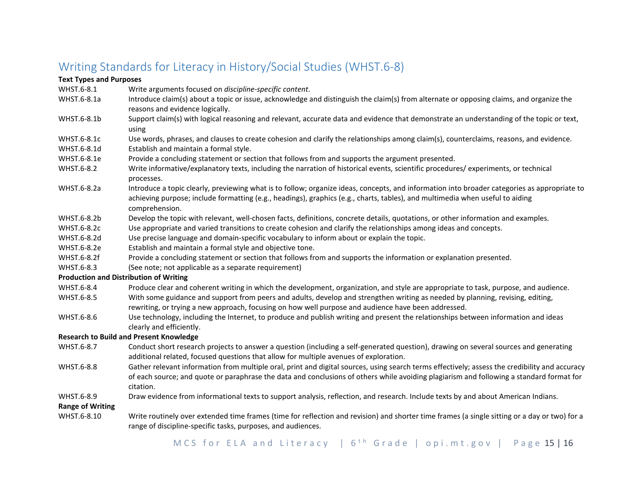# Writing Standards for Literacy in History/Social Studies (WHST.6-8)

### **Text Types and Purposes**

- WHST.6-8.1 Write arguments focused on *discipline-specific content*.
- WHST.6-8.1a Introduce claim(s) about a topic or issue, acknowledge and distinguish the claim(s) from alternate or opposing claims, and organize the reasons and evidence logically.
- WHST.6-8.1b Support claim(s) with logical reasoning and relevant, accurate data and evidence that demonstrate an understanding of the topic or text, using
- WHST.6-8.1c Use words, phrases, and clauses to create cohesion and clarify the relationships among claim(s), counterclaims, reasons, and evidence.
- WHST.6-8.1d Establish and maintain a formal style.
- WHST.6-8.1e Provide a concluding statement or section that follows from and supports the argument presented.
- WHST.6-8.2 Write informative/explanatory texts, including the narration of historical events, scientific procedures/ experiments, or technical processes.
- WHST.6-8.2a Introduce a topic clearly, previewing what is to follow; organize ideas, concepts, and information into broader categories as appropriate to achieving purpose; include formatting (e.g., headings), graphics (e.g., charts, tables), and multimedia when useful to aiding comprehension.
- WHST.6-8.2b Develop the topic with relevant, well-chosen facts, definitions, concrete details, quotations, or other information and examples.
- WHST.6-8.2c Use appropriate and varied transitions to create cohesion and clarify the relationships among ideas and concepts.
- WHST.6-8.2d Use precise language and domain-specific vocabulary to inform about or explain the topic.
- WHST.6-8.2e Establish and maintain a formal style and objective tone.
- WHST.6-8.2f Provide a concluding statement or section that follows from and supports the information or explanation presented.
- WHST.6-8.3 (See note; not applicable as a separate requirement)

# **Production and Distribution of Writing**

- WHST.6-8.4 Produce clear and coherent writing in which the development, organization, and style are appropriate to task, purpose, and audience.
- WHST.6-8.5 With some guidance and support from peers and adults, develop and strengthen writing as needed by planning, revising, editing, rewriting, or trying a new approach, focusing on how well purpose and audience have been addressed.
- WHST.6-8.6 Use technology, including the Internet, to produce and publish writing and present the relationships between information and ideas clearly and efficiently.

# **Research to Build and Present Knowledge**

- WHST.6-8.7 Conduct short research projects to answer a question (including a self-generated question), drawing on several sources and generating additional related, focused questions that allow for multiple avenues of exploration.
- WHST.6-8.8 Gather relevant information from multiple oral, print and digital sources, using search terms effectively; assess the credibility and accuracy of each source; and quote or paraphrase the data and conclusions of others while avoiding plagiarism and following a standard format for citation.
- WHST.6-8.9 Draw evidence from informational texts to support analysis, reflection, and research. Include texts by and about American Indians.

# **Range of Writing**

WHST.6-8.10 Write routinely over extended time frames (time for reflection and revision) and shorter time frames (a single sitting or a day or two) for a range of discipline-specific tasks, purposes, and audiences.